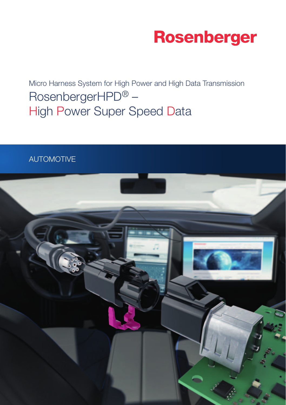

Micro Harness System for High Power and High Data Transmission RosenbergerHPD® – High Power Super Speed Data

## AUTOMOTIVE

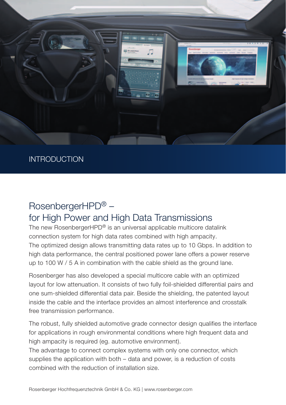

### INTRODUCTION

## RosenbergerHPD® – for High Power and High Data Transmissions

The new RosenbergerHPD<sup>®</sup> is an universal applicable multicore datalink connection system for high data rates combined with high ampacity. The optimized design allows transmitting data rates up to 10 Gbps. In addition to high data performance, the central positioned power lane offers a power reserve up to 100 W / 5 A in combination with the cable shield as the ground lane.

Rosenberger has also developed a special multicore cable with an optimized layout for low attenuation. It consists of two fully foil-shielded differential pairs and one sum-shielded differential data pair. Beside the shielding, the patented layout inside the cable and the interface provides an almost interference and crosstalk free transmission performance.

The robust, fully shielded automotive grade connector design qualifies the interface for applications in rough environmental conditions where high frequent data and high ampacity is required (eg. automotive environment).

The advantage to connect complex systems with only one connector, which supplies the application with both – data and power, is a reduction of costs combined with the reduction of installation size.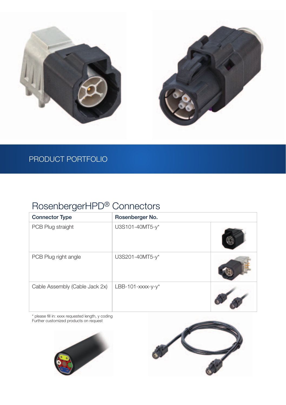

## PRODUCT PORTFOLIO

# RosenbergerHPD® Connectors

| <b>Connector Type</b>          | Rosenberger No.       |  |
|--------------------------------|-----------------------|--|
| PCB Plug straight              | U3S101-40MT5-y*       |  |
| PCB Plug right angle           | U3S201-40MT5-y*       |  |
| Cable Assembly (Cable Jack 2x) | LBB-101- $xxxx-y-y^*$ |  |

\* please fill in: xxxx requested length, y coding<br>Further customized products on request



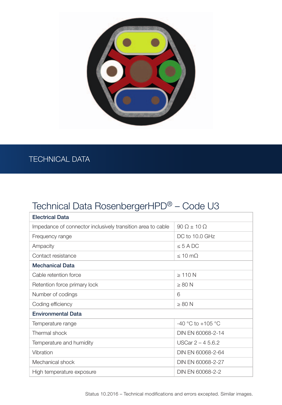

## TECHNICAL DATA

# Technical Data RosenbergerHPD® – Code U3

| <b>Electrical Data</b>                                      |                         |  |  |
|-------------------------------------------------------------|-------------------------|--|--|
| Impedance of connector inclusively transition area to cable | $90 \Omega + 10 \Omega$ |  |  |
| Frequency range                                             | DC to 10.0 GHz          |  |  |
| Ampacity                                                    | $\leq$ 5 A DC           |  |  |
| Contact resistance                                          | $< 10$ m $\Omega$       |  |  |
| <b>Mechanical Data</b>                                      |                         |  |  |
| Cable retention force                                       | $\geq 110$ N            |  |  |
| Retention force primary lock                                | $\geq 80$ N             |  |  |
| Number of codings                                           | 6                       |  |  |
| Coding efficiency                                           | $\geq 80$ N             |  |  |
| <b>Environmental Data</b>                                   |                         |  |  |
| Temperature range                                           | $-40$ °C to $+105$ °C   |  |  |
| Thermal shock                                               | DIN EN 60068-2-14       |  |  |
| Temperature and humidity                                    | USCar $2 - 45.6.2$      |  |  |
| Vibration                                                   | DIN EN 60068-2-64       |  |  |
| Mechanical shock                                            | DIN EN 60068-2-27       |  |  |
| High temperature exposure                                   | DIN EN 60068-2-2        |  |  |
|                                                             |                         |  |  |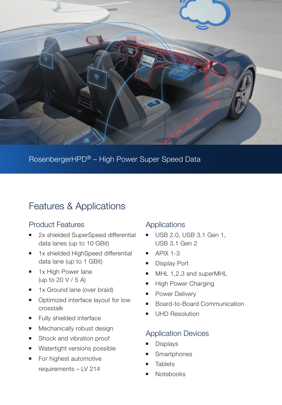

RosenbergerHPD® – High Power Super Speed Data

## Features & Applications

### Product Features

- 2x shielded SuperSpeed differential data lanes (up to 10 GBit)
- 1x shielded HighSpeed differential data lane (up to 1 GBit)
- 1x High Power lane (up to 20 V / 5 A)
- 1x Ground lane (over braid)
- Optimized interface layout for low crosstalk
- Fully shielded interface
- Mechanically robust design
- Shock and vibration proof
- Watertight versions possible
- For highest automotive requirements – LV 214

#### **Applications**

- USB 2.0, USB 3.1 Gen 1, USB 3.1 Gen 2
- $\blacksquare$  APIX 1-3
- Display Port
- MHL 1,2,3 and superMHL
- **High Power Charging**
- Power Delivery
- Board-to-Board Communication
- UHD Resolution

### Application Devices

- **Displays**
- **Smartphones**
- **Tablets**
- Notebooks